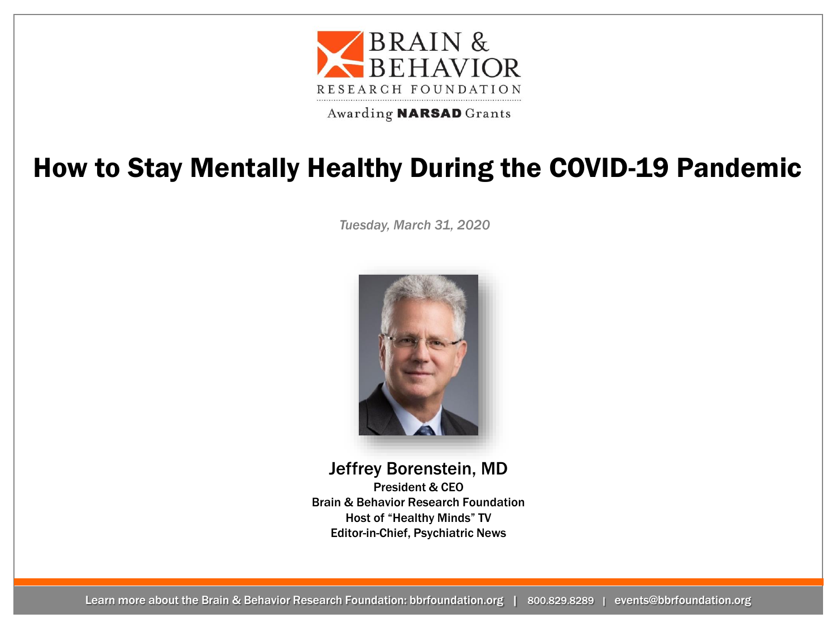

Awarding **NARSAD** Grants

#### How to Stay Mentally Healthy During the COVID-19 Pandemic

*Tuesday, March 31, 2020*



Jeffrey Borenstein, MD

President & CEO Brain & Behavior Research Foundation Host of "Healthy Minds" TV Editor-in-Chief, Psychiatric News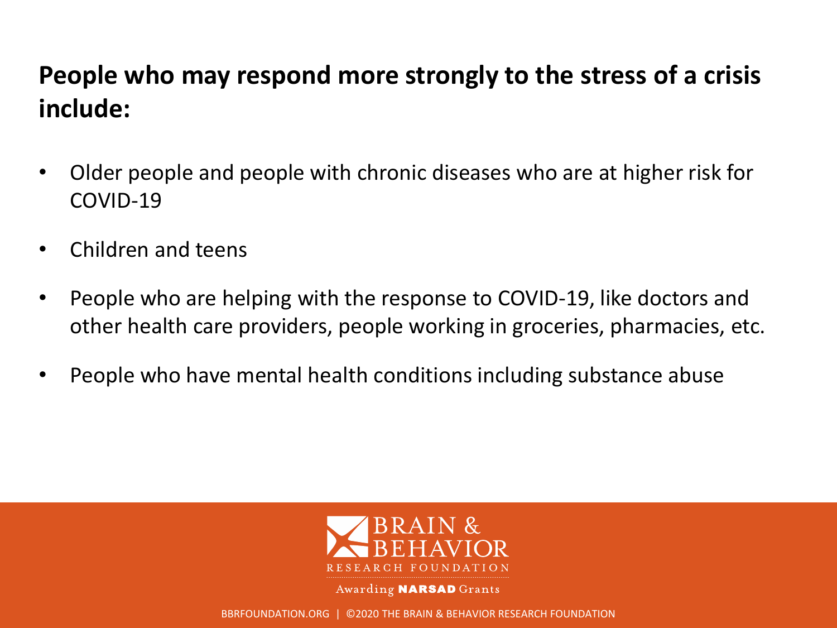#### **People who may respond more strongly to the stress of a crisis include:**

- Older people and people with chronic diseases who are at higher risk for COVID-19
- Children and teens
- People who are helping with the response to COVID-19, like doctors and other health care providers, people working in groceries, pharmacies, etc.
- People who have mental health conditions including substance abuse



Awarding **NARSAD** Grants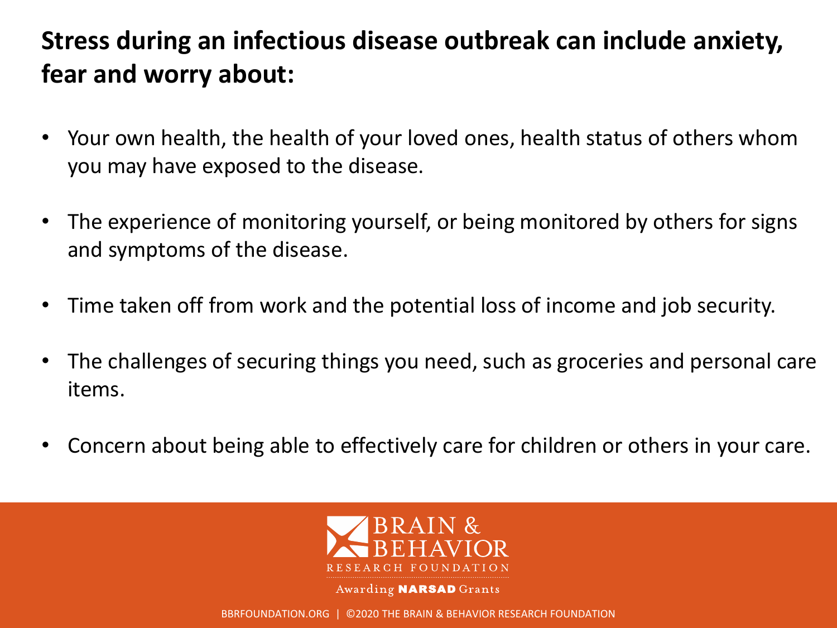#### **Stress during an infectious disease outbreak can include anxiety, fear and worry about:**

- Your own health, the health of your loved ones, health status of others whom you may have exposed to the disease.
- The experience of monitoring yourself, or being monitored by others for signs and symptoms of the disease.
- Time taken off from work and the potential loss of income and job security.
- The challenges of securing things you need, such as groceries and personal care items.
- Concern about being able to effectively care for children or others in your care.



Awarding **NARSAD** Grants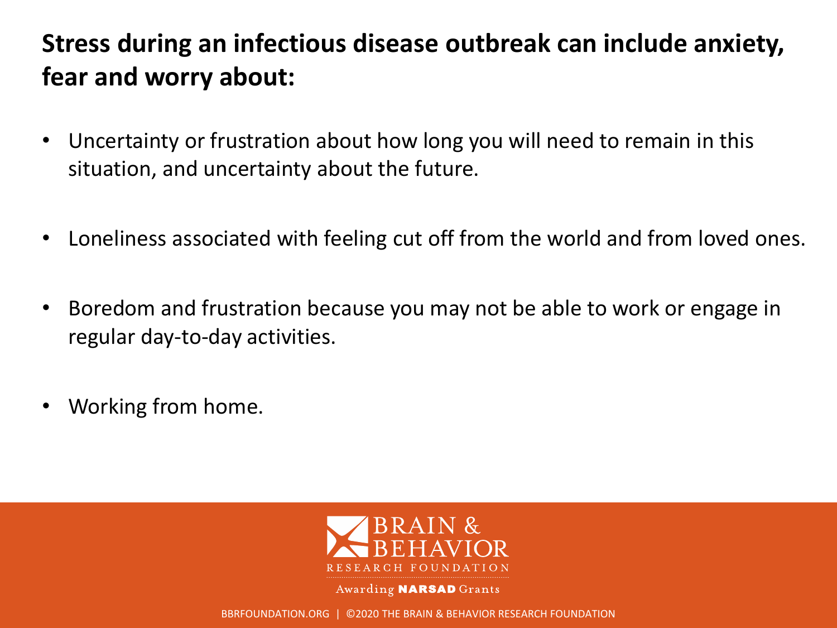#### **Stress during an infectious disease outbreak can include anxiety, fear and worry about:**

- Uncertainty or frustration about how long you will need to remain in this situation, and uncertainty about the future.
- Loneliness associated with feeling cut off from the world and from loved ones.
- Boredom and frustration because you may not be able to work or engage in regular day-to-day activities.
- Working from home.



Awarding **NARSAD** Grants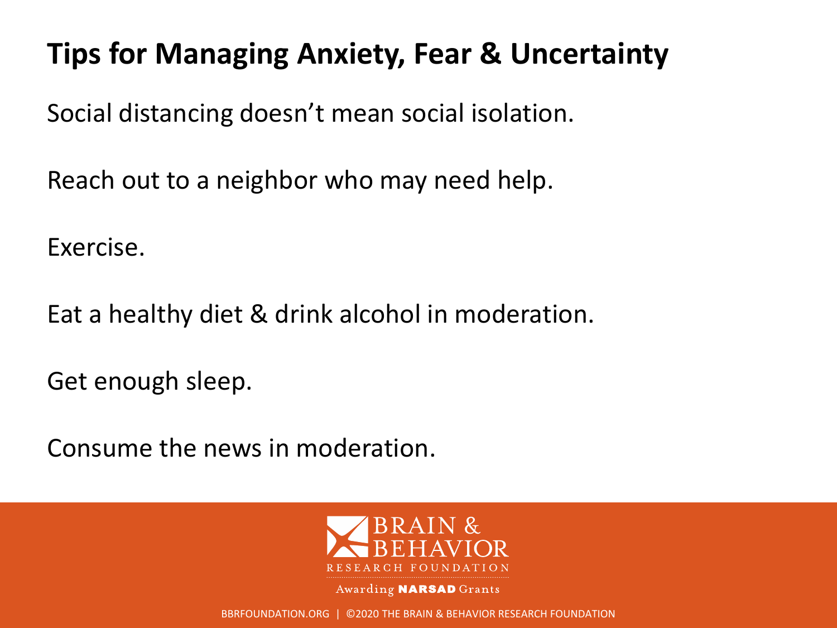## **Tips for Managing Anxiety, Fear & Uncertainty**

Social distancing doesn't mean social isolation.

Reach out to a neighbor who may need help.

Exercise.

Eat a healthy diet & drink alcohol in moderation.

Get enough sleep.

Consume the news in moderation.



Awarding **NARSAD** Grants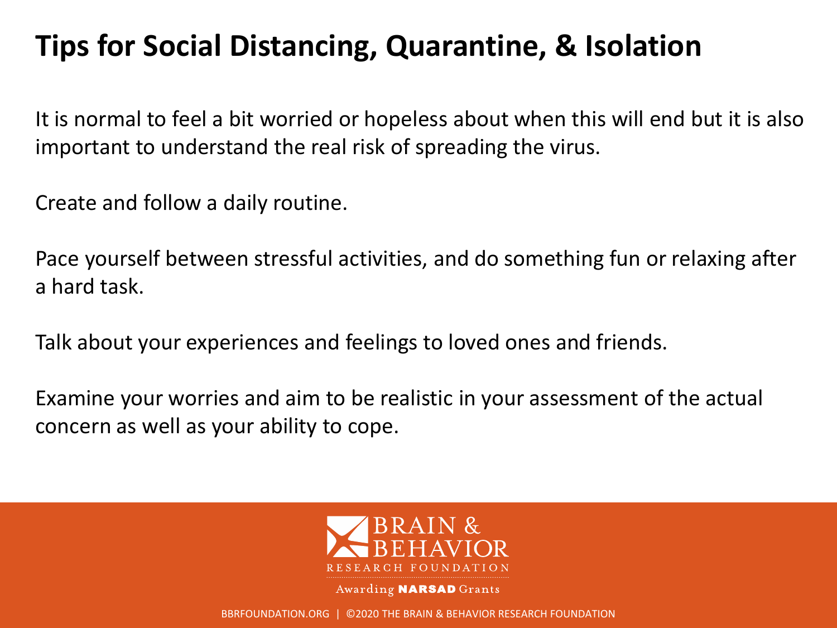## **Tips for Social Distancing, Quarantine, & Isolation**

It is normal to feel a bit worried or hopeless about when this will end but it is also important to understand the real risk of spreading the virus.

Create and follow a daily routine.

Pace yourself between stressful activities, and do something fun or relaxing after a hard task.

Talk about your experiences and feelings to loved ones and friends.

Examine your worries and aim to be realistic in your assessment of the actual concern as well as your ability to cope.



Awarding **NARSAD** Grants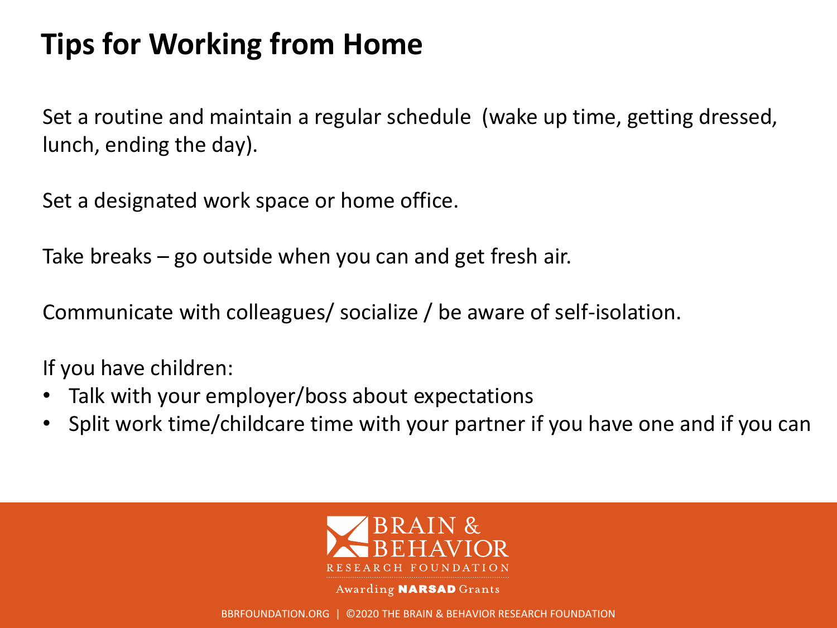## **Tips for Working from Home**

Set a routine and maintain a regular schedule (wake up time, getting dressed, lunch, ending the day).

Set a designated work space or home office.

Take breaks – go outside when you can and get fresh air.

Communicate with colleagues/ socialize / be aware of self-isolation.

If you have children:

- Talk with your employer/boss about expectations
- Split work time/childcare time with your partner if you have one and if you can



Awarding **NARSAD** Grants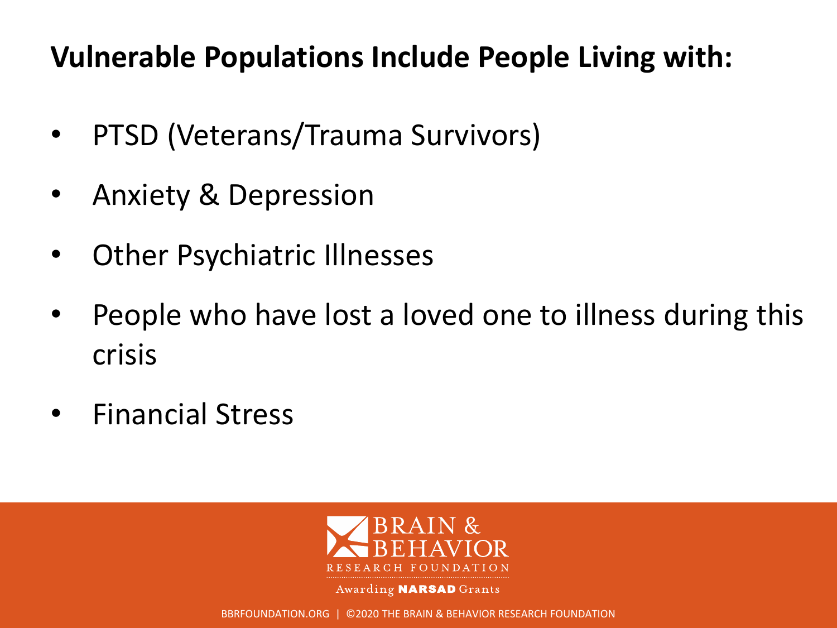### **Vulnerable Populations Include People Living with:**

- PTSD (Veterans/Trauma Survivors)
- Anxiety & Depression
- Other Psychiatric Illnesses
- People who have lost a loved one to illness during this crisis
- Financial Stress



Awarding **NARSAD** Grants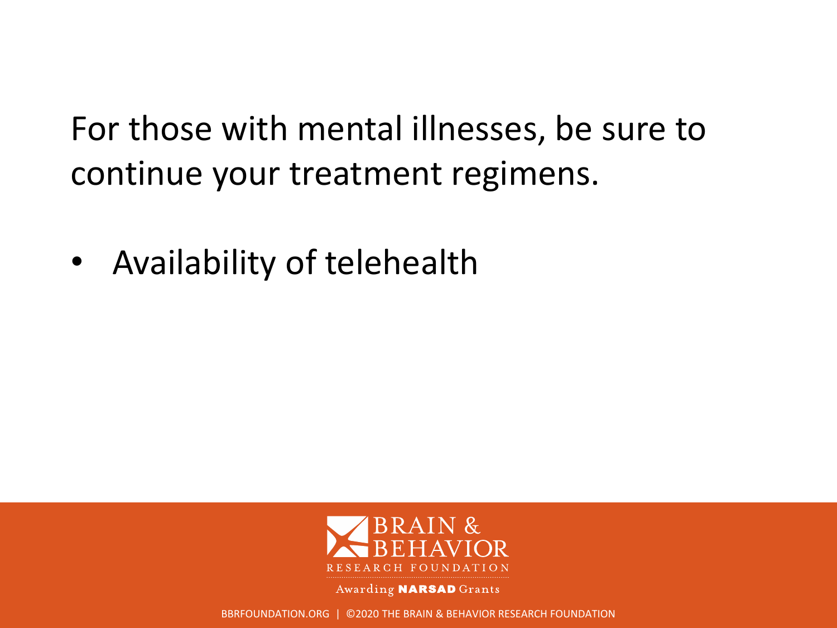For those with mental illnesses, be sure to continue your treatment regimens.

• Availability of telehealth



Awarding **NARSAD** Grants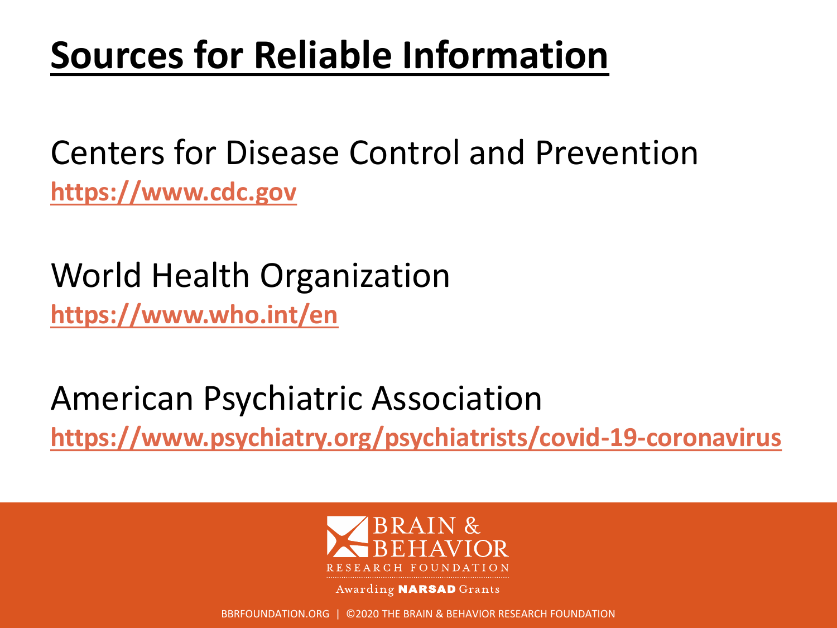# **Sources for Reliable Information**

## Centers for Disease Control and Prevention **[https://www.cdc.gov](https://www.cdc.gov/)**

World Health Organization **<https://www.who.int/en>**

American Psychiatric Association **<https://www.psychiatry.org/psychiatrists/covid-19-coronavirus>**



Awarding **NARSAD** Grants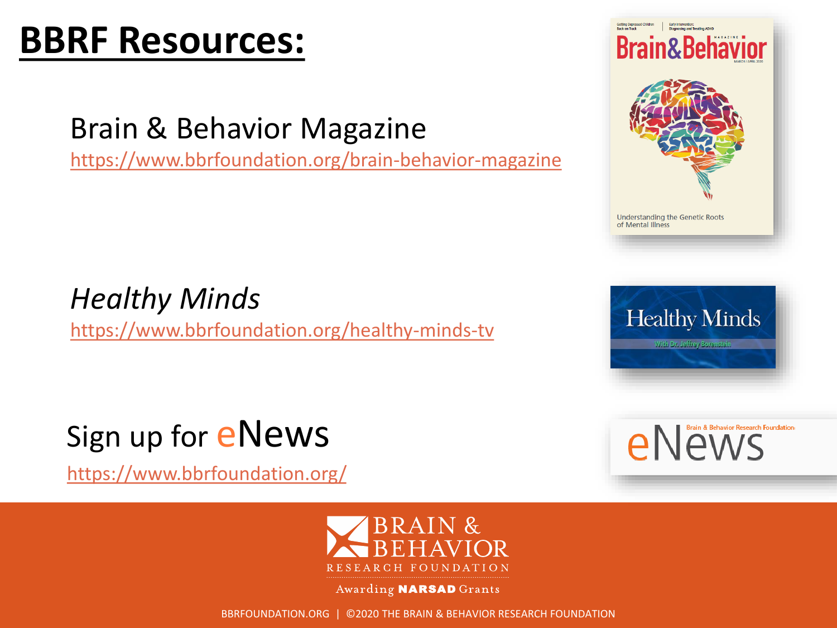# **BBRF Resources:**

### Brain & Behavior Magazine

<https://www.bbrfoundation.org/brain-behavior-magazine>

*Healthy Minds* <https://www.bbrfoundation.org/healthy-minds-tv>





Early Intervention:<br>Diagnosing and Treating ADHD **Brain&Behavior** 



e Newin & Behavior Research Foundation



<https://www.bbrfoundation.org/>



Awarding **NARSAD** Grants